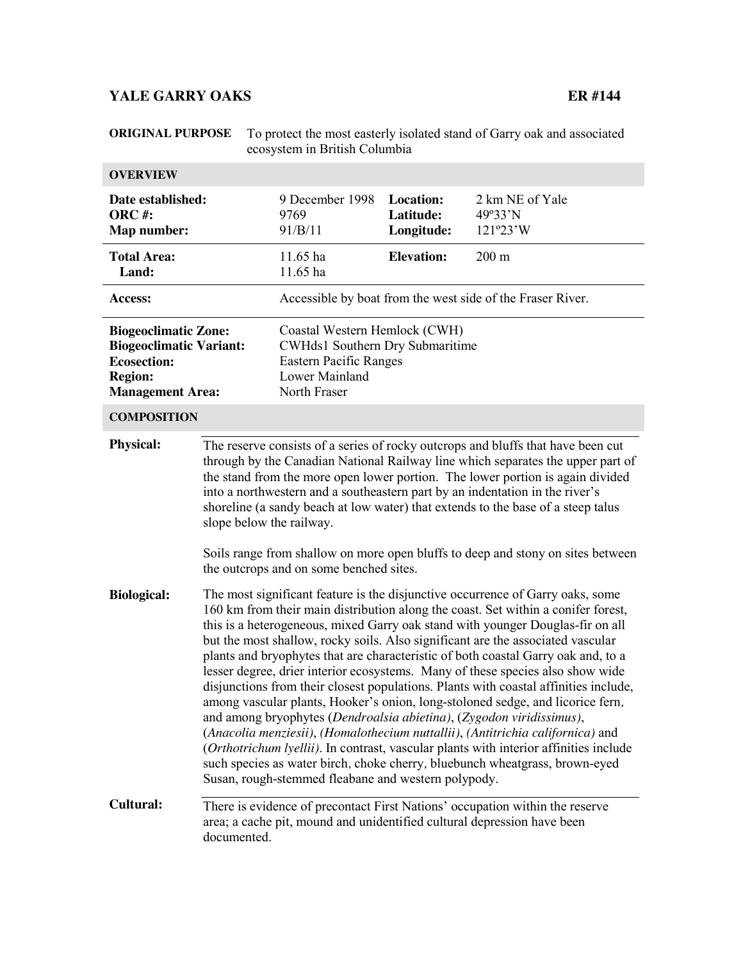# **YALE GARRY OAKS** ER #144

| <b>ORIGINAL PURPOSE</b>                                                                                                          |                                                                                                                                                                                                                                                                                                                                                                                                                                                                                                                                                                                                                                                                                                                                                                                                                                                                                                                                                                                                                                                                                                                                                                                                                                                                                                                                                                                                                                                                                                                                                                                                                                                                                                                                                                        |                                                                         | To protect the most easterly isolated stand of Garry oak and associated<br>ecosystem in British Columbia |                                        |  |  |  |
|----------------------------------------------------------------------------------------------------------------------------------|------------------------------------------------------------------------------------------------------------------------------------------------------------------------------------------------------------------------------------------------------------------------------------------------------------------------------------------------------------------------------------------------------------------------------------------------------------------------------------------------------------------------------------------------------------------------------------------------------------------------------------------------------------------------------------------------------------------------------------------------------------------------------------------------------------------------------------------------------------------------------------------------------------------------------------------------------------------------------------------------------------------------------------------------------------------------------------------------------------------------------------------------------------------------------------------------------------------------------------------------------------------------------------------------------------------------------------------------------------------------------------------------------------------------------------------------------------------------------------------------------------------------------------------------------------------------------------------------------------------------------------------------------------------------------------------------------------------------------------------------------------------------|-------------------------------------------------------------------------|----------------------------------------------------------------------------------------------------------|----------------------------------------|--|--|--|
| <b>OVERVIEW</b>                                                                                                                  |                                                                                                                                                                                                                                                                                                                                                                                                                                                                                                                                                                                                                                                                                                                                                                                                                                                                                                                                                                                                                                                                                                                                                                                                                                                                                                                                                                                                                                                                                                                                                                                                                                                                                                                                                                        |                                                                         |                                                                                                          |                                        |  |  |  |
| Date established:<br>ORC#:<br>Map number:                                                                                        |                                                                                                                                                                                                                                                                                                                                                                                                                                                                                                                                                                                                                                                                                                                                                                                                                                                                                                                                                                                                                                                                                                                                                                                                                                                                                                                                                                                                                                                                                                                                                                                                                                                                                                                                                                        | 9 December 1998<br>9769<br>91/B/11                                      | <b>Location:</b><br>Latitude:<br>Longitude:                                                              | 2 km NE of Yale<br>49°33'N<br>121°23'W |  |  |  |
| <b>Total Area:</b><br>Land:                                                                                                      |                                                                                                                                                                                                                                                                                                                                                                                                                                                                                                                                                                                                                                                                                                                                                                                                                                                                                                                                                                                                                                                                                                                                                                                                                                                                                                                                                                                                                                                                                                                                                                                                                                                                                                                                                                        | 11.65 ha<br>11.65 ha                                                    | <b>Elevation:</b>                                                                                        | $200 \text{ m}$                        |  |  |  |
| <b>Access:</b>                                                                                                                   |                                                                                                                                                                                                                                                                                                                                                                                                                                                                                                                                                                                                                                                                                                                                                                                                                                                                                                                                                                                                                                                                                                                                                                                                                                                                                                                                                                                                                                                                                                                                                                                                                                                                                                                                                                        |                                                                         | Accessible by boat from the west side of the Fraser River.                                               |                                        |  |  |  |
| <b>Biogeoclimatic Zone:</b><br><b>Biogeoclimatic Variant:</b><br><b>Ecosection:</b><br><b>Region:</b><br><b>Management Area:</b> |                                                                                                                                                                                                                                                                                                                                                                                                                                                                                                                                                                                                                                                                                                                                                                                                                                                                                                                                                                                                                                                                                                                                                                                                                                                                                                                                                                                                                                                                                                                                                                                                                                                                                                                                                                        | <b>Lower Mainland</b><br>North Fraser                                   | Coastal Western Hemlock (CWH)<br>CWHds1 Southern Dry Submaritime<br>Eastern Pacific Ranges               |                                        |  |  |  |
| <b>COMPOSITION</b>                                                                                                               |                                                                                                                                                                                                                                                                                                                                                                                                                                                                                                                                                                                                                                                                                                                                                                                                                                                                                                                                                                                                                                                                                                                                                                                                                                                                                                                                                                                                                                                                                                                                                                                                                                                                                                                                                                        |                                                                         |                                                                                                          |                                        |  |  |  |
| <b>Physical:</b><br><b>Biological:</b>                                                                                           | The reserve consists of a series of rocky outcrops and bluffs that have been cut<br>through by the Canadian National Railway line which separates the upper part of<br>the stand from the more open lower portion. The lower portion is again divided<br>into a northwestern and a southeastern part by an indentation in the river's<br>shoreline (a sandy beach at low water) that extends to the base of a steep talus<br>slope below the railway.<br>Soils range from shallow on more open bluffs to deep and stony on sites between<br>the outcrops and on some benched sites.<br>The most significant feature is the disjunctive occurrence of Garry oaks, some<br>160 km from their main distribution along the coast. Set within a conifer forest,<br>this is a heterogeneous, mixed Garry oak stand with younger Douglas-fir on all<br>but the most shallow, rocky soils. Also significant are the associated vascular<br>plants and bryophytes that are characteristic of both coastal Garry oak and, to a<br>lesser degree, drier interior ecosystems. Many of these species also show wide<br>disjunctions from their closest populations. Plants with coastal affinities include,<br>among vascular plants, Hooker's onion, long-stoloned sedge, and licorice fern,<br>and among bryophytes (Dendroalsia abietina), (Zygodon viridissimus),<br>(Anacolia menziesii), (Homalothecium nuttallii), (Antitrichia californica) and<br>(Orthotrichum lyellii). In contrast, vascular plants with interior affinities include<br>such species as water birch, choke cherry, bluebunch wheatgrass, brown-eyed<br>Susan, rough-stemmed fleabane and western polypody.<br>Cultural:<br>There is evidence of precontact First Nations' occupation within the reserve |                                                                         |                                                                                                          |                                        |  |  |  |
|                                                                                                                                  |                                                                                                                                                                                                                                                                                                                                                                                                                                                                                                                                                                                                                                                                                                                                                                                                                                                                                                                                                                                                                                                                                                                                                                                                                                                                                                                                                                                                                                                                                                                                                                                                                                                                                                                                                                        |                                                                         |                                                                                                          |                                        |  |  |  |
|                                                                                                                                  | documented.                                                                                                                                                                                                                                                                                                                                                                                                                                                                                                                                                                                                                                                                                                                                                                                                                                                                                                                                                                                                                                                                                                                                                                                                                                                                                                                                                                                                                                                                                                                                                                                                                                                                                                                                                            | area; a cache pit, mound and unidentified cultural depression have been |                                                                                                          |                                        |  |  |  |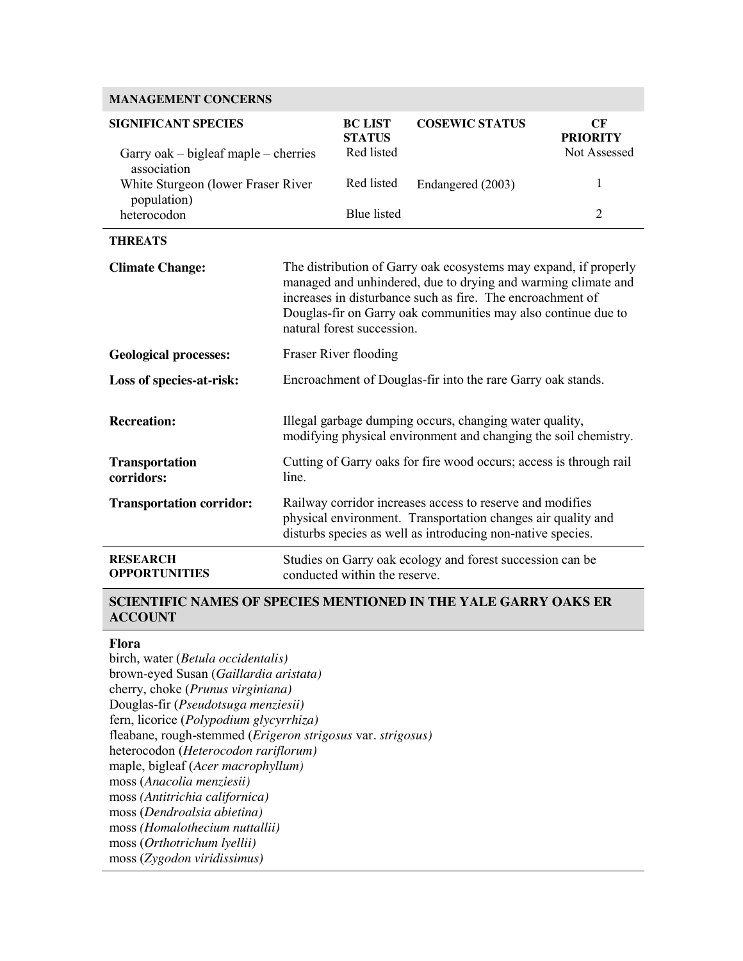### **MANAGEMENT CONCERNS**

| <b>SIGNIFICANT SPECIES</b>                              | <b>BC LIST</b><br><b>STATUS</b>                                                                                                                                                                                                                                                                | <b>COSEWIC STATUS</b>                                                                                                                                                                    | CF<br><b>PRIORITY</b>                                     |                |  |  |
|---------------------------------------------------------|------------------------------------------------------------------------------------------------------------------------------------------------------------------------------------------------------------------------------------------------------------------------------------------------|------------------------------------------------------------------------------------------------------------------------------------------------------------------------------------------|-----------------------------------------------------------|----------------|--|--|
| Garry oak $-$ bigleaf maple $-$ cherries<br>association | Red listed                                                                                                                                                                                                                                                                                     |                                                                                                                                                                                          | Not Assessed                                              |                |  |  |
| White Sturgeon (lower Fraser River)<br>population)      | Red listed                                                                                                                                                                                                                                                                                     | Endangered (2003)                                                                                                                                                                        | 1                                                         |                |  |  |
| heterocodon                                             |                                                                                                                                                                                                                                                                                                | <b>Blue</b> listed                                                                                                                                                                       |                                                           | $\overline{2}$ |  |  |
| <b>THREATS</b>                                          |                                                                                                                                                                                                                                                                                                |                                                                                                                                                                                          |                                                           |                |  |  |
| <b>Climate Change:</b>                                  | The distribution of Garry oak ecosystems may expand, if properly<br>managed and unhindered, due to drying and warming climate and<br>increases in disturbance such as fire. The encroachment of<br>Douglas-fir on Garry oak communities may also continue due to<br>natural forest succession. |                                                                                                                                                                                          |                                                           |                |  |  |
| <b>Geological processes:</b>                            | Fraser River flooding                                                                                                                                                                                                                                                                          |                                                                                                                                                                                          |                                                           |                |  |  |
| Loss of species-at-risk:                                | Encroachment of Douglas-fir into the rare Garry oak stands.                                                                                                                                                                                                                                    |                                                                                                                                                                                          |                                                           |                |  |  |
| <b>Recreation:</b>                                      | Illegal garbage dumping occurs, changing water quality,<br>modifying physical environment and changing the soil chemistry.                                                                                                                                                                     |                                                                                                                                                                                          |                                                           |                |  |  |
| <b>Transportation</b><br>corridors:<br>line.            |                                                                                                                                                                                                                                                                                                | Cutting of Garry oaks for fire wood occurs; access is through rail                                                                                                                       |                                                           |                |  |  |
| <b>Transportation corridor:</b>                         |                                                                                                                                                                                                                                                                                                | Railway corridor increases access to reserve and modifies<br>physical environment. Transportation changes air quality and<br>disturbs species as well as introducing non-native species. |                                                           |                |  |  |
| <b>RESEARCH</b><br><b>OPPORTUNITIES</b>                 |                                                                                                                                                                                                                                                                                                | conducted within the reserve.                                                                                                                                                            | Studies on Garry oak ecology and forest succession can be |                |  |  |

#### **SCIENTIFIC NAMES OF SPECIES MENTIONED IN THE YALE GARRY OAKS ER ACCOUNT**

#### **Flora**

birch, water (*Betula occidentalis)* brown-eyed Susan (*Gaillardia aristata)* cherry, choke (*Prunus virginiana)* Douglas-fir (*Pseudotsuga menziesii)* fern, licorice (*Polypodium glycyrrhiza)* fleabane, rough-stemmed (*Erigeron strigosus* var*. strigosus)* heterocodon (*Heterocodon rariflorum)* maple, bigleaf (*Acer macrophyllum)* moss (*Anacolia menziesii)* moss *(Antitrichia californica)* moss (*Dendroalsia abietina)* moss *(Homalothecium nuttallii)* moss (*Orthotrichum lyellii)* moss (*Zygodon viridissimus)*